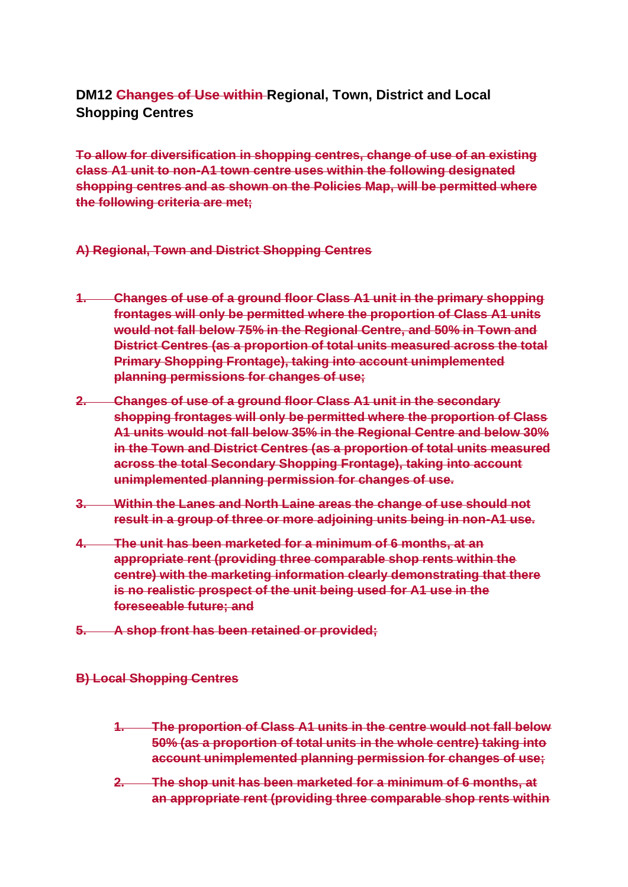# **DM12 Changes of Use within Regional, Town, District and Local Shopping Centres**

**To allow for diversification in shopping centres, change of use of an existing class A1 unit to non-A1 town centre uses within the following designated shopping centres and as shown on the Policies Map, will be permitted where the following criteria are met;**

#### **A) Regional, Town and District Shopping Centres**

- **1. Changes of use of a ground floor Class A1 unit in the primary shopping frontages will only be permitted where the proportion of Class A1 units would not fall below 75% in the Regional Centre, and 50% in Town and District Centres (as a proportion of total units measured across the total Primary Shopping Frontage), taking into account unimplemented planning permissions for changes of use;**
- **2. Changes of use of a ground floor Class A1 unit in the secondary shopping frontages will only be permitted where the proportion of Class A1 units would not fall below 35% in the Regional Centre and below 30% in the Town and District Centres (as a proportion of total units measured across the total Secondary Shopping Frontage), taking into account unimplemented planning permission for changes of use.**
- **3. Within the Lanes and North Laine areas the change of use should not result in a group of three or more adjoining units being in non-A1 use.**
- **4. The unit has been marketed for a minimum of 6 months, at an appropriate rent (providing three comparable shop rents within the centre) with the marketing information clearly demonstrating that there is no realistic prospect of the unit being used for A1 use in the foreseeable future; and**
- **5. A shop front has been retained or provided;**
- **B) Local Shopping Centres** 
	- **1. The proportion of Class A1 units in the centre would not fall below 50% (as a proportion of total units in the whole centre) taking into account unimplemented planning permission for changes of use;**
	- **2. The shop unit has been marketed for a minimum of 6 months, at an appropriate rent (providing three comparable shop rents within**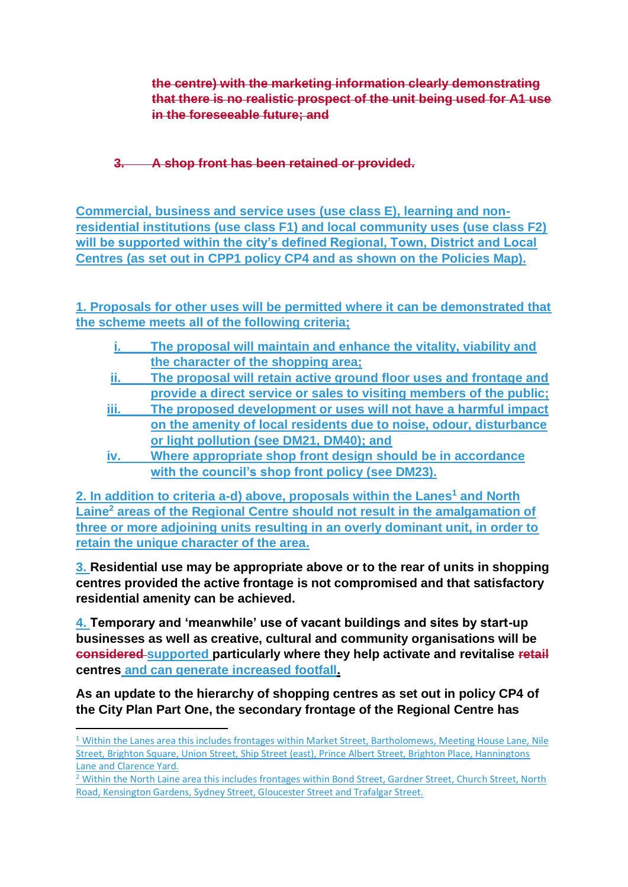**the centre) with the marketing information clearly demonstrating that there is no realistic prospect of the unit being used for A1 use in the foreseeable future; and**

**3. A shop front has been retained or provided.**

**Commercial, business and service uses (use class E), learning and nonresidential institutions (use class F1) and local community uses (use class F2) will be supported within the city's defined Regional, Town, District and Local Centres (as set out in CPP1 policy CP4 and as shown on the Policies Map).**

**1. Proposals for other uses will be permitted where it can be demonstrated that the scheme meets all of the following criteria;**

- **i. The proposal will maintain and enhance the vitality, viability and the character of the shopping area;**
- **ii. The proposal will retain active ground floor uses and frontage and provide a direct service or sales to visiting members of the public;**
- **iii. The proposed development or uses will not have a harmful impact on the amenity of local residents due to noise, odour, disturbance or light pollution (see DM21, DM40); and**
- **iv. Where appropriate shop front design should be in accordance with the council's shop front policy (see DM23).**

**2. In addition to criteria a-d) above, proposals within the Lanes<sup>1</sup> and North Laine<sup>2</sup> areas of the Regional Centre should not result in the amalgamation of three or more adjoining units resulting in an overly dominant unit, in order to retain the unique character of the area.**

**3. Residential use may be appropriate above or to the rear of units in shopping centres provided the active frontage is not compromised and that satisfactory residential amenity can be achieved.** 

**4. Temporary and 'meanwhile' use of vacant buildings and sites by start-up businesses as well as creative, cultural and community organisations will be considered supported particularly where they help activate and revitalise retail centres and can generate increased footfall.** 

**As an update to the hierarchy of shopping centres as set out in policy CP4 of the City Plan Part One, the secondary frontage of the Regional Centre has** 

 $1$  Within the Lanes area this includes frontages within Market Street, Bartholomews, Meeting House Lane, Nile Street, Brighton Square, Union Street, Ship Street (east), Prince Albert Street, Brighton Place, Hanningtons Lane and Clarence Yard.

<sup>&</sup>lt;sup>2</sup> Within the North Laine area this includes frontages within Bond Street, Gardner Street, Church Street, North Road, Kensington Gardens, Sydney Street, Gloucester Street and Trafalgar Street.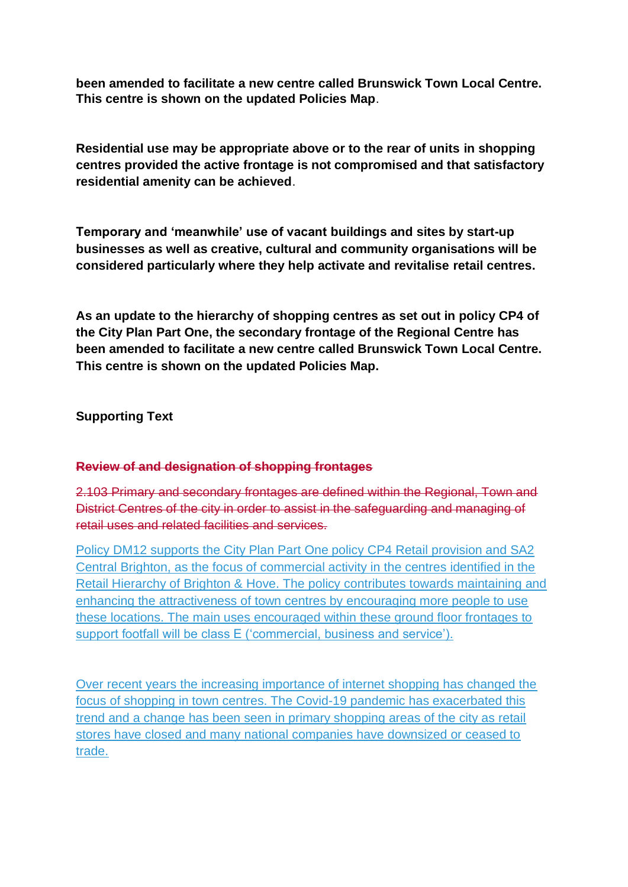**been amended to facilitate a new centre called Brunswick Town Local Centre. This centre is shown on the updated Policies Map**.

**Residential use may be appropriate above or to the rear of units in shopping centres provided the active frontage is not compromised and that satisfactory residential amenity can be achieved**.

**Temporary and 'meanwhile' use of vacant buildings and sites by start-up businesses as well as creative, cultural and community organisations will be considered particularly where they help activate and revitalise retail centres.**

**As an update to the hierarchy of shopping centres as set out in policy CP4 of the City Plan Part One, the secondary frontage of the Regional Centre has been amended to facilitate a new centre called Brunswick Town Local Centre. This centre is shown on the updated Policies Map.** 

**Supporting Text**

# **Review of and designation of shopping frontages**

2.103 Primary and secondary frontages are defined within the Regional, Town and District Centres of the city in order to assist in the safeguarding and managing of retail uses and related facilities and services.

Policy DM12 supports the City Plan Part One policy CP4 Retail provision and SA2 Central Brighton, as the focus of commercial activity in the centres identified in the Retail Hierarchy of Brighton & Hove. The policy contributes towards maintaining and enhancing the attractiveness of town centres by encouraging more people to use these locations. The main uses encouraged within these ground floor frontages to support footfall will be class E ('commercial, business and service').

Over recent years the increasing importance of internet shopping has changed the focus of shopping in town centres. The Covid-19 pandemic has exacerbated this trend and a change has been seen in primary shopping areas of the city as retail stores have closed and many national companies have downsized or ceased to trade.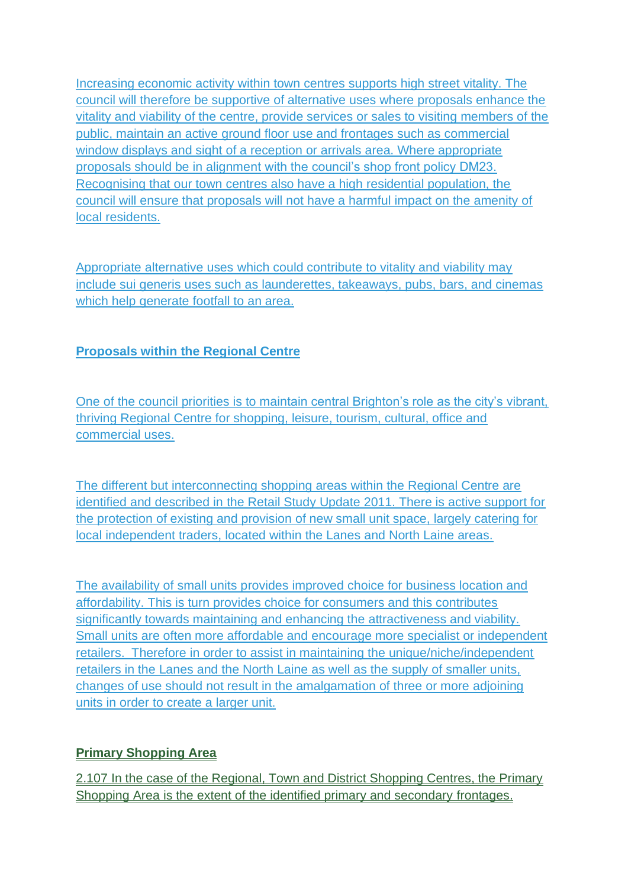Increasing economic activity within town centres supports high street vitality. The council will therefore be supportive of alternative uses where proposals enhance the vitality and viability of the centre, provide services or sales to visiting members of the public, maintain an active ground floor use and frontages such as commercial window displays and sight of a reception or arrivals area. Where appropriate proposals should be in alignment with the council's shop front policy DM23. Recognising that our town centres also have a high residential population, the council will ensure that proposals will not have a harmful impact on the amenity of local residents.

Appropriate alternative uses which could contribute to vitality and viability may include sui generis uses such as launderettes, takeaways, pubs, bars, and cinemas which help generate footfall to an area.

# **Proposals within the Regional Centre**

One of the council priorities is to maintain central Brighton's role as the city's vibrant, thriving Regional Centre for shopping, leisure, tourism, cultural, office and commercial uses.

The different but interconnecting shopping areas within the Regional Centre are identified and described in the Retail Study Update 2011. There is active support for the protection of existing and provision of new small unit space, largely catering for local independent traders, located within the Lanes and North Laine areas.

The availability of small units provides improved choice for business location and affordability. This is turn provides choice for consumers and this contributes significantly towards maintaining and enhancing the attractiveness and viability. Small units are often more affordable and encourage more specialist or independent retailers. Therefore in order to assist in maintaining the unique/niche/independent retailers in the Lanes and the North Laine as well as the supply of smaller units, changes of use should not result in the amalgamation of three or more adjoining units in order to create a larger unit.

# **Primary Shopping Area**

2.107 In the case of the Regional, Town and District Shopping Centres, the Primary Shopping Area is the extent of the identified primary and secondary frontages.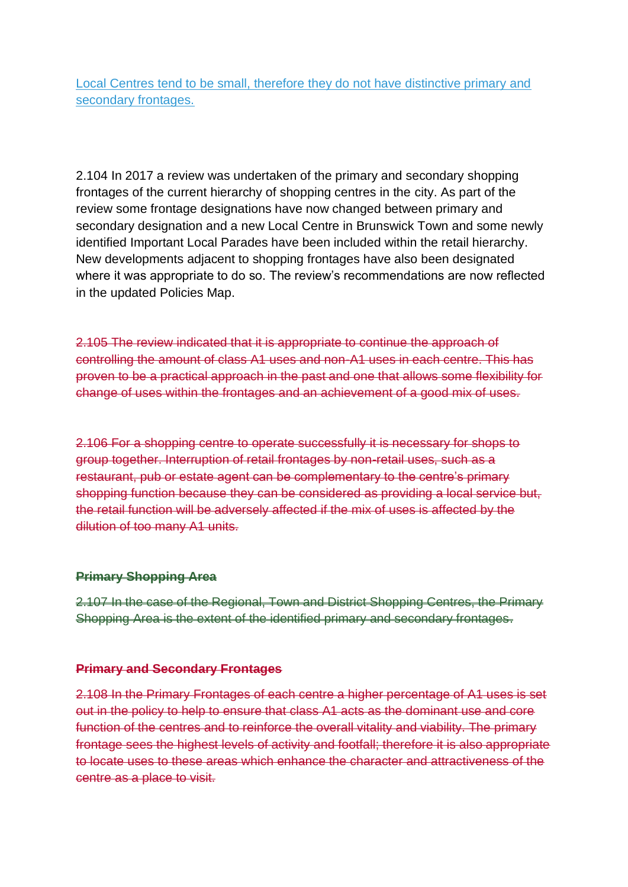Local Centres tend to be small, therefore they do not have distinctive primary and secondary frontages.

2.104 In 2017 a review was undertaken of the primary and secondary shopping frontages of the current hierarchy of shopping centres in the city. As part of the review some frontage designations have now changed between primary and secondary designation and a new Local Centre in Brunswick Town and some newly identified Important Local Parades have been included within the retail hierarchy. New developments adjacent to shopping frontages have also been designated where it was appropriate to do so. The review's recommendations are now reflected in the updated Policies Map.

2.105 The review indicated that it is appropriate to continue the approach of controlling the amount of class A1 uses and non-A1 uses in each centre. This has proven to be a practical approach in the past and one that allows some flexibility for change of uses within the frontages and an achievement of a good mix of uses.

2.106 For a shopping centre to operate successfully it is necessary for shops to group together. Interruption of retail frontages by non-retail uses, such as a restaurant, pub or estate agent can be complementary to the centre's primary shopping function because they can be considered as providing a local service but, the retail function will be adversely affected if the mix of uses is affected by the dilution of too many A1 units.

#### **Primary Shopping Area**

2.107 In the case of the Regional, Town and District Shopping Centres, the Primary Shopping Area is the extent of the identified primary and secondary frontages.

#### **Primary and Secondary Frontages**

2.108 In the Primary Frontages of each centre a higher percentage of A1 uses is set out in the policy to help to ensure that class A1 acts as the dominant use and core function of the centres and to reinforce the overall vitality and viability. The primary frontage sees the highest levels of activity and footfall; therefore it is also appropriate to locate uses to these areas which enhance the character and attractiveness of the centre as a place to visit.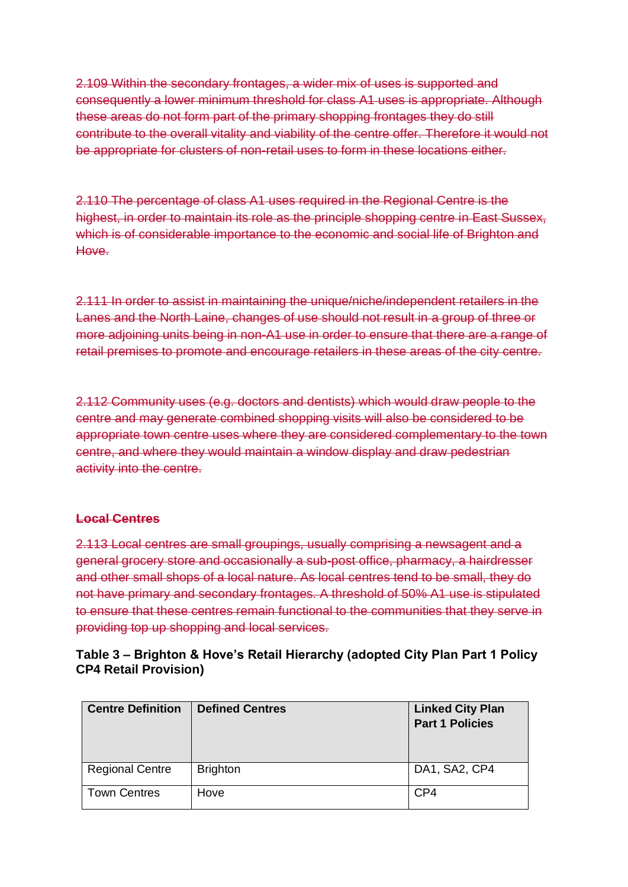2.109 Within the secondary frontages, a wider mix of uses is supported and consequently a lower minimum threshold for class A1 uses is appropriate. Although these areas do not form part of the primary shopping frontages they do still contribute to the overall vitality and viability of the centre offer. Therefore it would not be appropriate for clusters of non-retail uses to form in these locations either.

2.110 The percentage of class A1 uses required in the Regional Centre is the highest, in order to maintain its role as the principle shopping centre in East Sussex, which is of considerable importance to the economic and social life of Brighton and Hove.

2.111 In order to assist in maintaining the unique/niche/independent retailers in the Lanes and the North Laine, changes of use should not result in a group of three or more adjoining units being in non-A1 use in order to ensure that there are a range of retail premises to promote and encourage retailers in these areas of the city centre.

2.112 Community uses (e.g. doctors and dentists) which would draw people to the centre and may generate combined shopping visits will also be considered to be appropriate town centre uses where they are considered complementary to the town centre, and where they would maintain a window display and draw pedestrian activity into the centre.

#### **Local Centres**

2.113 Local centres are small groupings, usually comprising a newsagent and a general grocery store and occasionally a sub-post office, pharmacy, a hairdresser and other small shops of a local nature. As local centres tend to be small, they do not have primary and secondary frontages. A threshold of 50% A1 use is stipulated to ensure that these centres remain functional to the communities that they serve in providing top up shopping and local services.

| Table 3 – Brighton & Hove's Retail Hierarchy (adopted City Plan Part 1 Policy |  |
|-------------------------------------------------------------------------------|--|
| <b>CP4 Retail Provision)</b>                                                  |  |

| <b>Centre Definition</b> | <b>Defined Centres</b> | <b>Linked City Plan</b><br><b>Part 1 Policies</b> |
|--------------------------|------------------------|---------------------------------------------------|
| <b>Regional Centre</b>   | <b>Brighton</b>        | DA1, SA2, CP4                                     |
| <b>Town Centres</b>      | Hove                   | CP4                                               |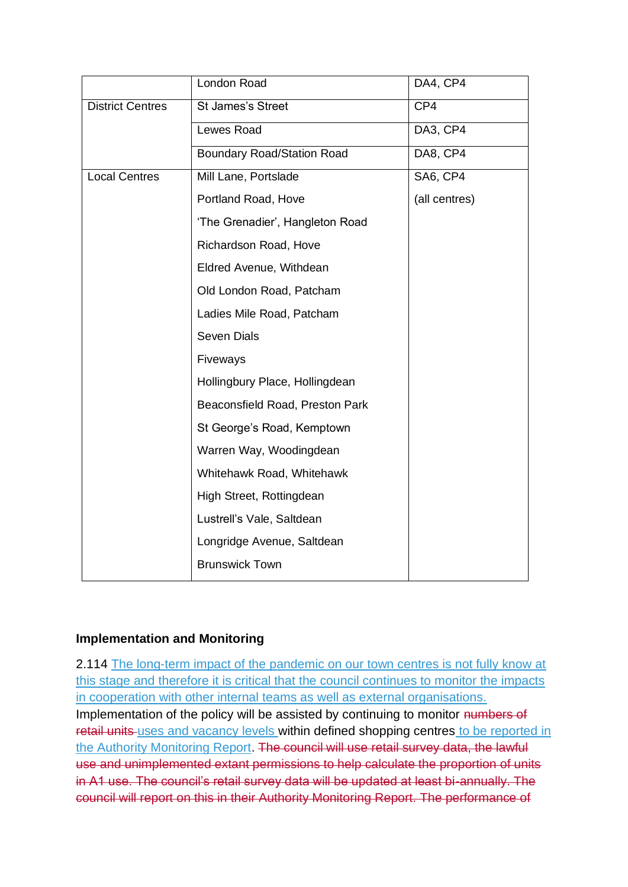|                         | London Road                       | DA4, CP4      |
|-------------------------|-----------------------------------|---------------|
| <b>District Centres</b> | <b>St James's Street</b>          | CP4           |
|                         | Lewes Road                        | DA3, CP4      |
|                         | <b>Boundary Road/Station Road</b> | DA8, CP4      |
| <b>Local Centres</b>    | Mill Lane, Portslade              | SA6, CP4      |
|                         | Portland Road, Hove               | (all centres) |
|                         | 'The Grenadier', Hangleton Road   |               |
|                         | Richardson Road, Hove             |               |
|                         | Eldred Avenue, Withdean           |               |
|                         | Old London Road, Patcham          |               |
|                         | Ladies Mile Road, Patcham         |               |
|                         | <b>Seven Dials</b>                |               |
|                         | Fiveways                          |               |
|                         | Hollingbury Place, Hollingdean    |               |
|                         | Beaconsfield Road, Preston Park   |               |
|                         | St George's Road, Kemptown        |               |
|                         | Warren Way, Woodingdean           |               |
|                         | Whitehawk Road, Whitehawk         |               |
|                         | High Street, Rottingdean          |               |
|                         | Lustrell's Vale, Saltdean         |               |
|                         | Longridge Avenue, Saltdean        |               |
|                         | <b>Brunswick Town</b>             |               |

# **Implementation and Monitoring**

2.114 The long-term impact of the pandemic on our town centres is not fully know at this stage and therefore it is critical that the council continues to monitor the impacts in cooperation with other internal teams as well as external organisations. Implementation of the policy will be assisted by continuing to monitor numbers of retail units uses and vacancy levels within defined shopping centres to be reported in the Authority Monitoring Report. The council will use retail survey data, the lawful use and unimplemented extant permissions to help calculate the proportion of units in A1 use. The council's retail survey data will be updated at least bi-annually. The council will report on this in their Authority Monitoring Report. The performance of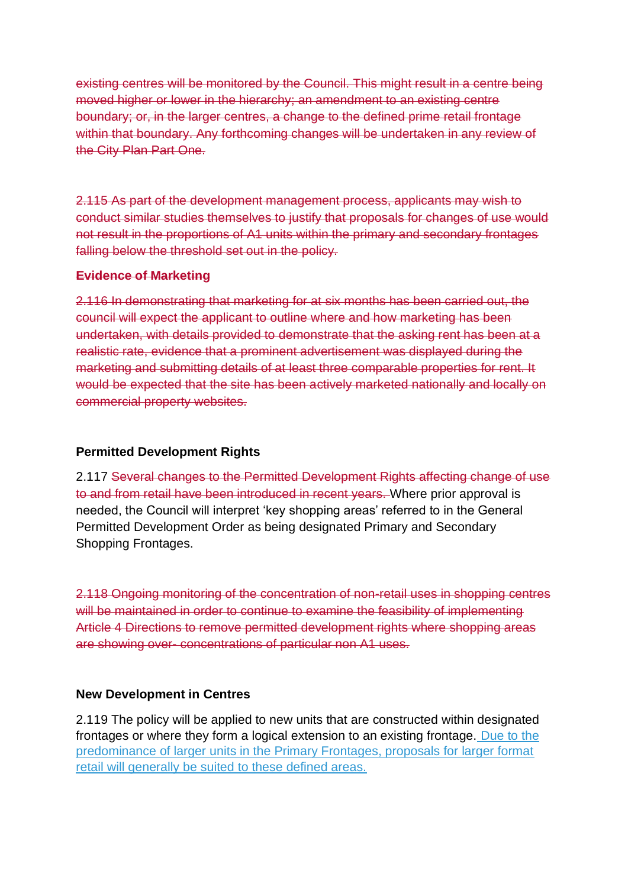existing centres will be monitored by the Council. This might result in a centre being moved higher or lower in the hierarchy; an amendment to an existing centre boundary; or, in the larger centres, a change to the defined prime retail frontage within that boundary. Any forthcoming changes will be undertaken in any review of the City Plan Part One.

2.115 As part of the development management process, applicants may wish to conduct similar studies themselves to justify that proposals for changes of use would not result in the proportions of A1 units within the primary and secondary frontages falling below the threshold set out in the policy.

### **Evidence of Marketing**

2.116 In demonstrating that marketing for at six months has been carried out, the council will expect the applicant to outline where and how marketing has been undertaken, with details provided to demonstrate that the asking rent has been at a realistic rate, evidence that a prominent advertisement was displayed during the marketing and submitting details of at least three comparable properties for rent. It would be expected that the site has been actively marketed nationally and locally on commercial property websites.

# **Permitted Development Rights**

2.117 Several changes to the Permitted Development Rights affecting change of use to and from retail have been introduced in recent years. Where prior approval is needed, the Council will interpret 'key shopping areas' referred to in the General Permitted Development Order as being designated Primary and Secondary Shopping Frontages.

2.118 Ongoing monitoring of the concentration of non-retail uses in shopping centres will be maintained in order to continue to examine the feasibility of implementing Article 4 Directions to remove permitted development rights where shopping areas are showing over- concentrations of particular non A1 uses.

#### **New Development in Centres**

2.119 The policy will be applied to new units that are constructed within designated frontages or where they form a logical extension to an existing frontage. Due to the predominance of larger units in the Primary Frontages, proposals for larger format retail will generally be suited to these defined areas.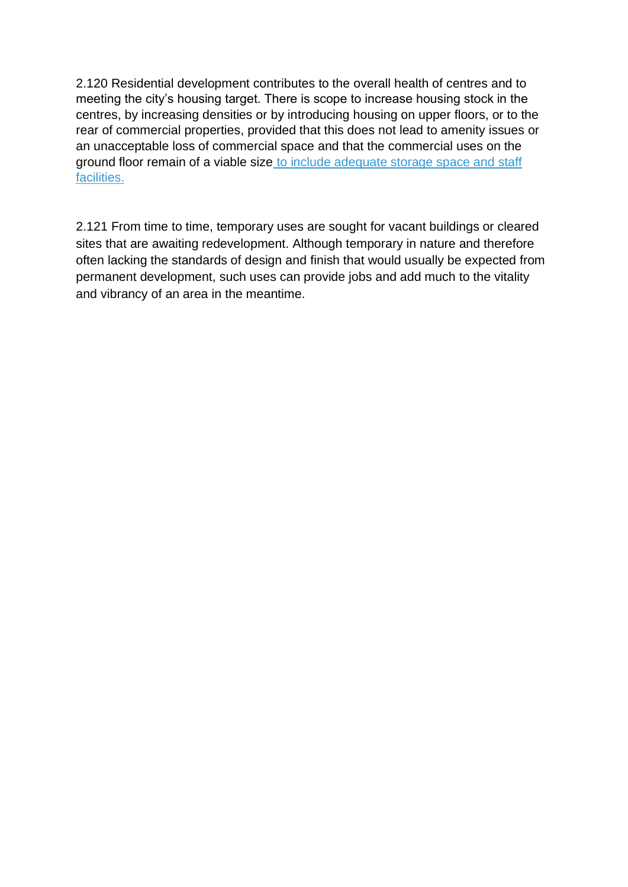2.120 Residential development contributes to the overall health of centres and to meeting the city's housing target. There is scope to increase housing stock in the centres, by increasing densities or by introducing housing on upper floors, or to the rear of commercial properties, provided that this does not lead to amenity issues or an unacceptable loss of commercial space and that the commercial uses on the ground floor remain of a viable size to include adequate storage space and staff facilities.

2.121 From time to time, temporary uses are sought for vacant buildings or cleared sites that are awaiting redevelopment. Although temporary in nature and therefore often lacking the standards of design and finish that would usually be expected from permanent development, such uses can provide jobs and add much to the vitality and vibrancy of an area in the meantime.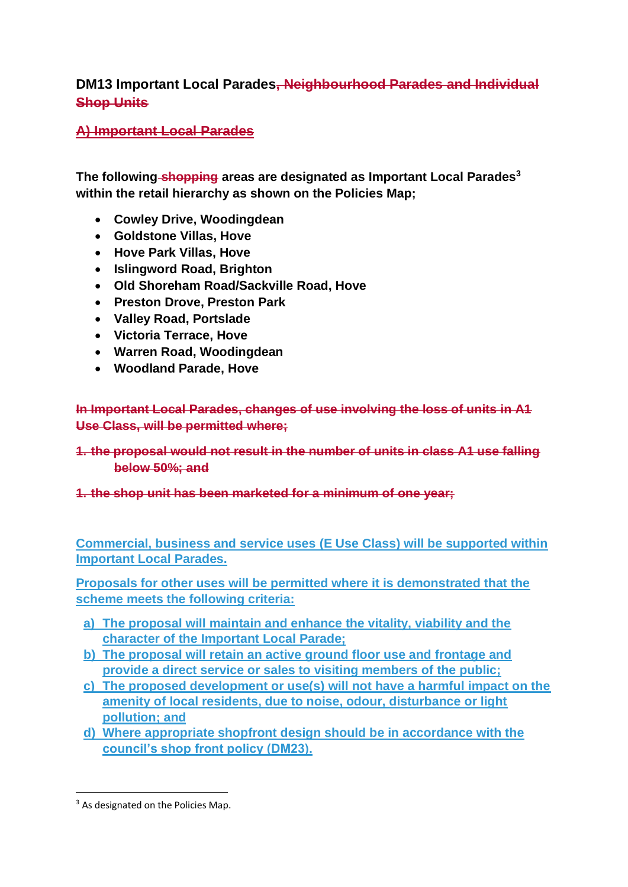# **DM13 Important Local Parades, Neighbourhood Parades and Individual Shop Units**

# **A) Important Local Parades**

**The following shopping areas are designated as Important Local Parades<sup>3</sup> within the retail hierarchy as shown on the Policies Map;**

- **Cowley Drive, Woodingdean**
- **Goldstone Villas, Hove**
- **Hove Park Villas, Hove**
- **Islingword Road, Brighton**
- **Old Shoreham Road/Sackville Road, Hove**
- **Preston Drove, Preston Park**
- **Valley Road, Portslade**
- **Victoria Terrace, Hove**
- **Warren Road, Woodingdean**
- **Woodland Parade, Hove**

**In Important Local Parades, changes of use involving the loss of units in A1 Use Class, will be permitted where;**

# **1. the proposal would not result in the number of units in class A1 use falling below 50%; and**

# **1. the shop unit has been marketed for a minimum of one year;**

**Commercial, business and service uses (E Use Class) will be supported within Important Local Parades.** 

**Proposals for other uses will be permitted where it is demonstrated that the scheme meets the following criteria:**

- **a) The proposal will maintain and enhance the vitality, viability and the character of the Important Local Parade;**
- **b) The proposal will retain an active ground floor use and frontage and provide a direct service or sales to visiting members of the public;**
- **c) The proposed development or use(s) will not have a harmful impact on the amenity of local residents, due to noise, odour, disturbance or light pollution; and**
- **d) Where appropriate shopfront design should be in accordance with the council's shop front policy (DM23).**

<sup>&</sup>lt;sup>3</sup> As designated on the Policies Map.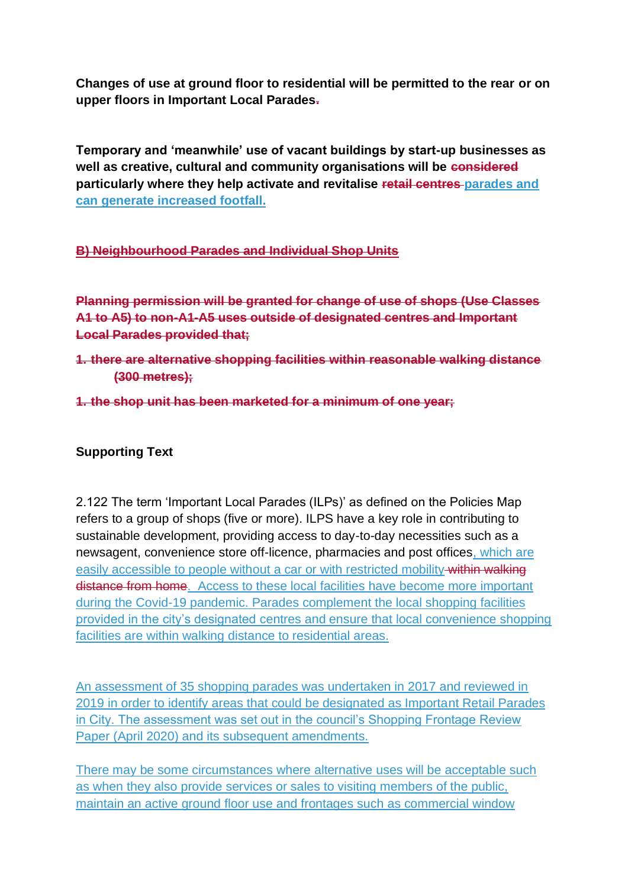**Changes of use at ground floor to residential will be permitted to the rear or on upper floors in Important Local Parades.**

**Temporary and 'meanwhile' use of vacant buildings by start-up businesses as well as creative, cultural and community organisations will be considered particularly where they help activate and revitalise retail centres parades and can generate increased footfall.**

# **B) Neighbourhood Parades and Individual Shop Units**

**Planning permission will be granted for change of use of shops (Use Classes A1 to A5) to non-A1-A5 uses outside of designated centres and Important Local Parades provided that;**

- **1. there are alternative shopping facilities within reasonable walking distance (300 metres);**
- **1. the shop unit has been marketed for a minimum of one year;**

# **Supporting Text**

2.122 The term 'Important Local Parades (ILPs)' as defined on the Policies Map refers to a group of shops (five or more). ILPS have a key role in contributing to sustainable development, providing access to day-to-day necessities such as a newsagent, convenience store off-licence, pharmacies and post offices, which are easily accessible to people without a car or with restricted mobility within walking distance from home. Access to these local facilities have become more important during the Covid-19 pandemic. Parades complement the local shopping facilities provided in the city's designated centres and ensure that local convenience shopping facilities are within walking distance to residential areas.

An assessment of 35 shopping parades was undertaken in 2017 and reviewed in 2019 in order to identify areas that could be designated as Important Retail Parades in City. The assessment was set out in the council's Shopping Frontage Review Paper (April 2020) and its subsequent amendments.

There may be some circumstances where alternative uses will be acceptable such as when they also provide services or sales to visiting members of the public, maintain an active ground floor use and frontages such as commercial window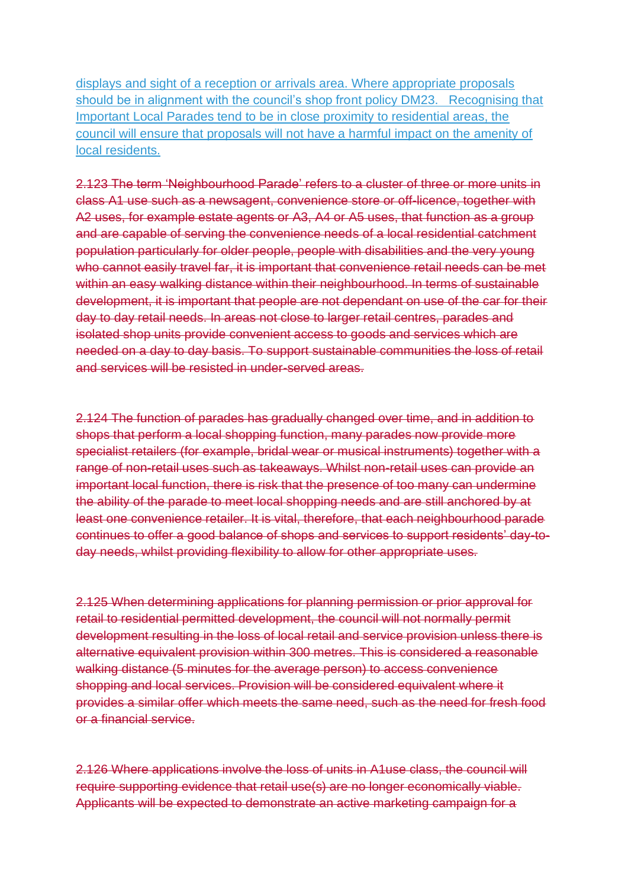displays and sight of a reception or arrivals area. Where appropriate proposals should be in alignment with the council's shop front policy DM23. Recognising that Important Local Parades tend to be in close proximity to residential areas, the council will ensure that proposals will not have a harmful impact on the amenity of local residents.

2.123 The term 'Neighbourhood Parade' refers to a cluster of three or more units in class A1 use such as a newsagent, convenience store or off-licence, together with A2 uses, for example estate agents or A3, A4 or A5 uses, that function as a group and are capable of serving the convenience needs of a local residential catchment population particularly for older people, people with disabilities and the very young who cannot easily travel far, it is important that convenience retail needs can be met within an easy walking distance within their neighbourhood. In terms of sustainable development, it is important that people are not dependant on use of the car for their day to day retail needs. In areas not close to larger retail centres, parades and isolated shop units provide convenient access to goods and services which are needed on a day to day basis. To support sustainable communities the loss of retail and services will be resisted in under-served areas.

2.124 The function of parades has gradually changed over time, and in addition to shops that perform a local shopping function, many parades now provide more specialist retailers (for example, bridal wear or musical instruments) together with a range of non-retail uses such as takeaways. Whilst non-retail uses can provide an important local function, there is risk that the presence of too many can undermine the ability of the parade to meet local shopping needs and are still anchored by at least one convenience retailer. It is vital, therefore, that each neighbourhood parade continues to offer a good balance of shops and services to support residents' day-today needs, whilst providing flexibility to allow for other appropriate uses.

2.125 When determining applications for planning permission or prior approval for retail to residential permitted development, the council will not normally permit development resulting in the loss of local retail and service provision unless there is alternative equivalent provision within 300 metres. This is considered a reasonable walking distance (5 minutes for the average person) to access convenience shopping and local services. Provision will be considered equivalent where it provides a similar offer which meets the same need, such as the need for fresh food or a financial service.

2.126 Where applications involve the loss of units in A1use class, the council will require supporting evidence that retail use(s) are no longer economically viable. Applicants will be expected to demonstrate an active marketing campaign for a